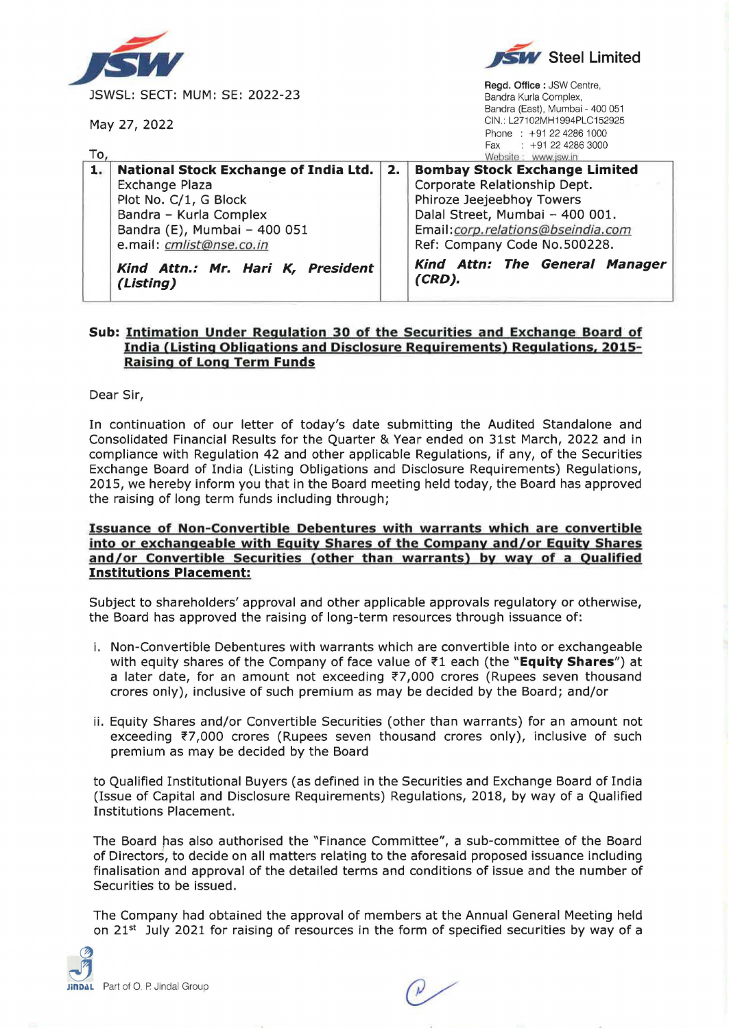

## **Sub: Intimation Under Regulation 30 of the Securities and Exchange Board of India (Listing Obligations and Disclosure Requirements) Regulations, 2015- Raising of Long Term Funds**

Dear Sir,

In continuation of our letter of today's date submitting the Audited Standalone and Consolidated Financial Results for the Quarter & Year ended on 31st March, 2022 and in compliance with Regulation 42 and other applicable Regulations, if any, of the Securities Exchange Board of India (Listing Obligations and Disclosure Requirements) Regulations, 2015, we hereby inform you that in the Board meeting held today, the Board has approved the raising of long term funds including through;

## **Issuance of Non-Convertible Debentures with warrants which are convertible into or exchangeable with Equity Shares of the Company and/or Equity Shares and/or Convertible Securities Cother than warrants) by way of a Qualified Institutions Placement:**

Subject to shareholders' approval and other applicable approvals regulatory or otherwise, the Board has approved the raising of long-term resources through issuance of:

- i. Non-Convertible Debentures with warrants which are convertible into or exchangeable with equity shares of the Company of face value of ~1 each (the **"Equity Shares")** at a later date, for an amount not exceeding  $7,000$  crores (Rupees seven thousand crores only), inclusive of such premium as may be decided by the Board; and/or
- ii. Equity Shares and/or Convertible Securities (other than warrants) for an amount not exceeding  $\overline{z}$ 7,000 crores (Rupees seven thousand crores only), inclusive of such premium as may be decided by the Board

to Qualified Institutional Buyers (as defined in the Securities and Exchange Board of India (Issue of Capital and Disclosure Requirements) Regulations, 2018, by way of a Qualified Institutions Placement.

The Board has also authorised the "Finance Committee", a sub-committee of the Board of Directors, to decide on all matters relating to the aforesaid proposed issuance including finalisation and approval of the detailed terms and conditions of issue and the number of Securities to be issued.

The Company had obtained the approval of members at the Annual General Meeting held on  $21<sup>st</sup>$  July 2021 for raising of resources in the form of specified securities by way of a